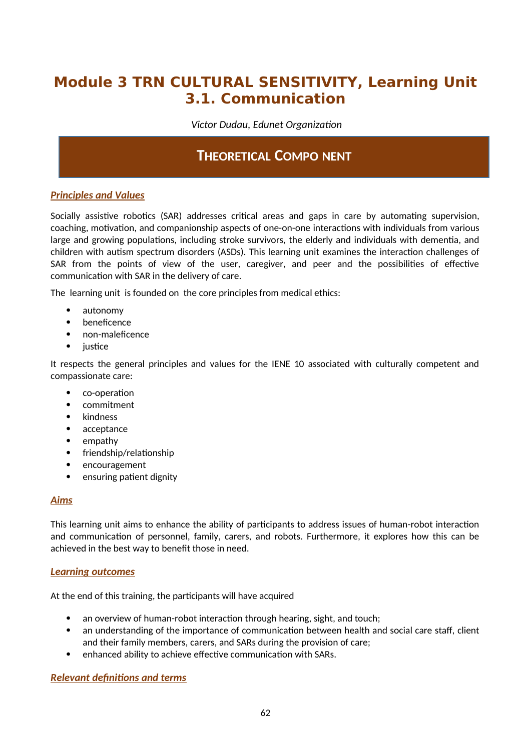# **Module 3 TRN CULTURAL SENSITIVITY, Learning Unit 3.1. Communication**

 *Victor Dudau, Edunet Organization*

# **THEORETICAL COMPO NENT**

# *Principles and Values*

Socially assistive robotics (SAR) addresses critical areas and gaps in care by automating supervision, coaching, motivation, and companionship aspects of one-on-one interactions with individuals from various large and growing populations, including stroke survivors, the elderly and individuals with dementia, and children with autism spectrum disorders (ASDs). This learning unit examines the interaction challenges of SAR from the points of view of the user, caregiver, and peer and the possibilities of effective communication with SAR in the delivery of care.

The learning unit is founded on the core principles from medical ethics:

- autonomy
- beneficence
- non-maleficence
- justice

It respects the general principles and values for the IENE 10 associated with culturally competent and compassionate care:

- co-operation
- commitment
- kindness
- acceptance
- empathy
- friendship/relationship
- encouragement
- ensuring patient dignity

### *Aims*

This learning unit aims to enhance the ability of participants to address issues of human-robot interaction and communication of personnel, family, carers, and robots. Furthermore, it explores how this can be achieved in the best way to benefit those in need.

### *Learning outcomes*

At the end of this training, the participants will have acquired

- an overview of human-robot interaction through hearing, sight, and touch;
- an understanding of the importance of communication between health and social care staff, client and their family members, carers, and SARs during the provision of care;
- enhanced ability to achieve effective communication with SARs.

# *Relevant definitions and terms*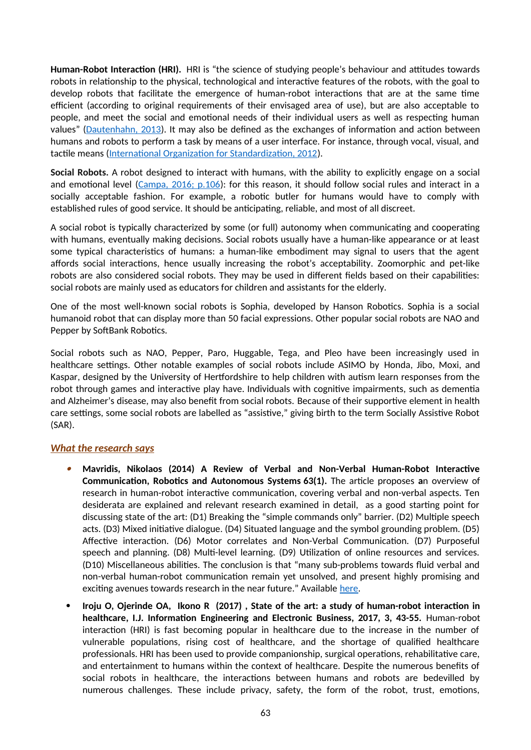**Human-Robot Interaction (HRI).** HRI is "the science of studying people's behaviour and attitudes towards robots in relationship to the physical, technological and interactive features of the robots, with the goal to develop robots that facilitate the emergence of human-robot interactions that are at the same time efficient (according to original requirements of their envisaged area of use), but are also acceptable to people, and meet the social and emotional needs of their individual users as well as respecting human values" [\(Dautenhahn, 2013\)](https://www.interaction-design.org/literature/book/the-encyclopedia-of-human-computer-interaction-2nd-ed/human-robot-interaction). It may also be defined as the exchanges of information and action between humans and robots to perform a task by means of a user interface. For instance, through vocal, visual, and tactile means [\(International Organization for Standardization, 2012](https://www.iso.org/obp/ui/#iso:std:iso:8373:ed-2:v1:en)).

**Social Robots.** A robot designed to interact with humans, with the ability to explicitly engage on a social and emotional level [\(Campa, 2016; p.106](https://www.researchgate.net/publication/308787576_The_Rise_of_Social_Robots_A_Review_of_the_Recent_Literature)): for this reason, it should follow social rules and interact in a socially acceptable fashion. For example, a robotic butler for humans would have to comply with established rules of good service. It should be anticipating, reliable, and most of all discreet.

A social robot is typically characterized by some (or full) autonomy when communicating and cooperating with humans, eventually making decisions. Social robots usually have a human-like appearance or at least some typical characteristics of humans: a human-like embodiment may signal to users that the agent affords social interactions, hence usually increasing the robot's acceptability. Zoomorphic and pet-like robots are also considered social robots. They may be used in different fields based on their capabilities: social robots are mainly used as educators for children and assistants for the elderly.

One of the most well-known social robots is Sophia, developed by Hanson Robotics. Sophia is a social humanoid robot that can display more than 50 facial expressions. Other popular social robots are NAO and Pepper by SoftBank Robotics.

Social robots such as NAO, Pepper, Paro, Huggable, Tega, and Pleo have been increasingly used in healthcare settings. Other notable examples of social robots include ASIMO by Honda, Jibo, Moxi, and Kaspar, designed by the University of Hertfordshire to help children with autism learn responses from the robot through games and interactive play have. Individuals with cognitive impairments, such as dementia and Alzheimer's disease, may also benefit from social robots. Because of their supportive element in health care settings, some social robots are labelled as "assistive," giving birth to the term Socially Assistive Robot (SAR).

### *What the research says*

- O **Mavridis, Nikolaos (2014) A Review of Verbal and Non-Verbal Human-Robot Interactive Communication, Robotics and Autonomous Systems 63(1).** The article proposes **a**n overview of research in human-robot interactive communication, covering verbal and non-verbal aspects. Ten desiderata are explained and relevant research examined in detail, as a good starting point for discussing state of the art: (D1) Breaking the "simple commands only" barrier. (D2) Multiple speech acts. (D3) Mixed initiative dialogue. (D4) Situated language and the symbol grounding problem. (D5) Affective interaction. (D6) Motor correlates and Non-Verbal Communication. (D7) Purposeful speech and planning. (D8) Multi-level learning. (D9) Utilization of online resources and services. (D10) Miscellaneous abilities. The conclusion is that "many sub-problems towards fluid verbal and non-verbal human-robot communication remain yet unsolved, and present highly promising and exciting avenues towards research in the near future." Available [here.](https://www.researchgate.net/publication/259804770_A_Review_of_Verbal_and_Non-Verbal_Human-Robot_Interactive_Communication)
- **Iroju O, Ojerinde OA, Ikono R (2017) , State of the art: a study of human-robot interaction in healthcare, I.J. Information Engineering and Electronic Business, 2017, 3, 43-55.** Human-robot interaction (HRI) is fast becoming popular in healthcare due to the increase in the number of vulnerable populations, rising cost of healthcare, and the shortage of qualified healthcare professionals. HRI has been used to provide companionship, surgical operations, rehabilitative care, and entertainment to humans within the context of healthcare. Despite the numerous benefits of social robots in healthcare, the interactions between humans and robots are bedevilled by numerous challenges. These include privacy, safety, the form of the robot, trust, emotions,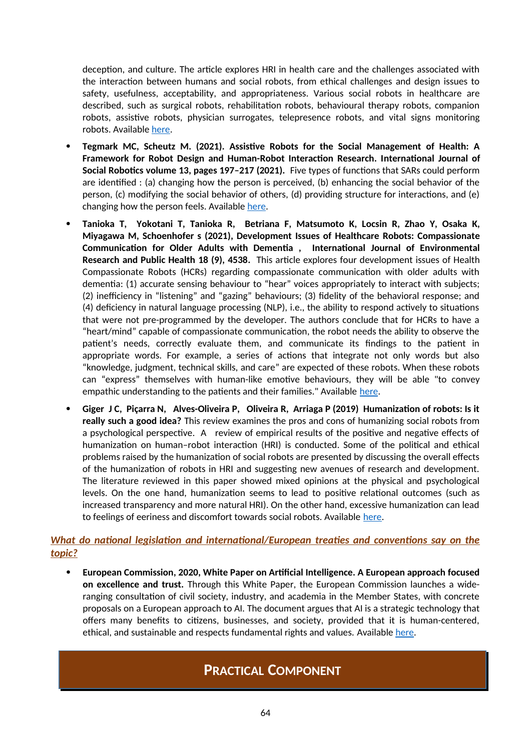deception, and culture. The article explores HRI in health care and the challenges associated with the interaction between humans and social robots, from ethical challenges and design issues to safety, usefulness, acceptability, and appropriateness. Various social robots in healthcare are described, such as surgical robots, rehabilitation robots, behavioural therapy robots, companion robots, assistive robots, physician surrogates, telepresence robots, and vital signs monitoring robots. Available [here.](https://www.researchgate.net/publication/316717436_State_Of_The_Art_A_Study_of_Human-Robot_Interaction_in_Healthcare)

- **Tegmark MC, Scheutz M. (2021). Assistive Robots for the Social Management of Health: A Framework for Robot Design and Human-Robot Interaction Research. International Journal of Social Robotics volume 13, pages 197–217 (2021).**Five types of functions that SARs could perform are identified : (a) changing how the person is perceived, (b) enhancing the social behavior of the person, (c) modifying the social behavior of others, (d) providing structure for interactions, and (e) changing how the person feels. Available [here](https://link.springer.com/content/pdf/10.1007/s12369-020-00634-z.pdf).
- **Tanioka T, Yokotani T, Tanioka R, Betriana F, Matsumoto K, Locsin R, Zhao Y, Osaka K, Miyagawa M, Schoenhofer s (2021), Development Issues of Healthcare Robots: Compassionate Communication for Older Adults with Dementia , International Journal of Environmental Research and Public Health 18 (9), 4538.** This article explores four development issues of Health Compassionate Robots (HCRs) regarding compassionate communication with older adults with dementia: (1) accurate sensing behaviour to "hear" voices appropriately to interact with subjects; (2) inefficiency in "listening" and "gazing" behaviours; (3) fidelity of the behavioral response; and (4) deficiency in natural language processing (NLP), i.e., the ability to respond actively to situations that were not pre-programmed by the developer. The authors conclude that for HCRs to have a "heart/mind" capable of compassionate communication, the robot needs the ability to observe the patient's needs, correctly evaluate them, and communicate its findings to the patient in appropriate words. For example, a series of actions that integrate not only words but also "knowledge, judgment, technical skills, and care" are expected of these robots. When these robots can "express" themselves with human-like emotive behaviours, they will be able "to convey empathic understanding to the patients and their families." Available [here](https://www.mdpi.com/1660-4601/18/9/4538/pdf).
- **Giger J C, Piçarra N, Alves-Oliveira P, Oliveira R, Arriaga P (2019) Humanization of robots: Is it really such a good idea?** This review examines the pros and cons of humanizing social robots from a psychological perspective. A review of empirical results of the positive and negative effects of humanization on human–robot interaction (HRI) is conducted. Some of the political and ethical problems raised by the humanization of social robots are presented by discussing the overall effects of the humanization of robots in HRI and suggesting new avenues of research and development. The literature reviewed in this paper showed mixed opinions at the physical and psychological levels. On the one hand, humanization seems to lead to positive relational outcomes (such as increased transparency and more natural HRI). On the other hand, excessive humanization can lead to feelings of eeriness and discomfort towards social robots. Available [here](https://www.researchgate.net/publication/332762975_Humanization_of_robots_Is_it_really_such_a_good_idea).

### *What do national legislation and international/European treaties and conventions say on the topic?*

 **European Commission, 2020, White Paper on Artificial Intelligence. A European approach focused on excellence and trust.** Through this White Paper, the European Commission launches a wideranging consultation of civil society, industry, and academia in the Member States, with concrete proposals on a European approach to AI. The document argues that AI is a strategic technology that offers many benefits to citizens, businesses, and society, provided that it is human-centered, ethical, and sustainable and respects fundamental rights and values. Available [here](https://ec.europa.eu/info/sites/default/files/commission-white-paper-artificial-intelligence-feb2020_en.pdf).

# **PRACTICAL COMPONENT**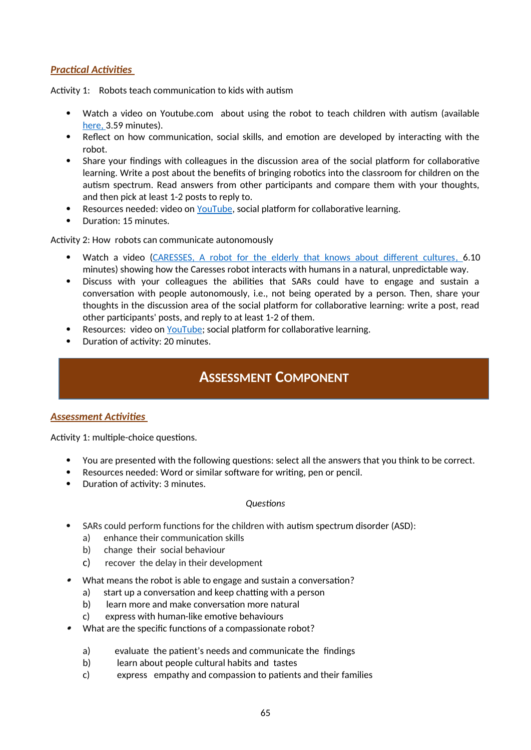## *Practical Activities*

Activity 1: Robots teach communication to kids with autism

- Watch a video on Youtube.com about using the robot to teach children with autism (available here, 3.59 minutes).
- Reflect on how communication, social skills, and emotion are developed by interacting with the robot.
- Share your findings with colleagues in the discussion area of the social platform for collaborative learning. Write a post about the benefits of bringing robotics into the classroom for children on the autism spectrum. Read answers from other participants and compare them with your thoughts, and then pick at least 1-2 posts to reply to.
- Resources needed: video on [YouTube,](https://www.youtube.com/watch?v=2Ko8O-4sINw) social platform for collaborative learning.
- Duration: 15 minutes.

Activity 2: How robots can communicate autonomously

- Watch a video (CARESSES, A robot for the elderly that knows about different cultures, 6.10 minutes) showing how the Caresses robot interacts with humans in a natural, unpredictable way.
- Discuss with your colleagues the abilities that SARs could have to engage and sustain a conversation with people autonomously, i.e., not being operated by a person. Then, share your thoughts in the discussion area of the social platform for collaborative learning: write a post, read other participants' posts, and reply to at least 1-2 of them.
- Resources: video on [YouTube;](https://www.youtube.com/watch?v=0at2oZt_rag) social platform for collaborative learning.
- Duration of activity: 20 minutes.

# **ASSESSMENT COMPONENT**

### *Assessment Activities*

Activity 1: multiple-choice questions.

- You are presented with the following questions: select all the answers that you think to be correct.
- Resources needed: Word or similar software for writing, pen or pencil.
- Duration of activity: 3 minutes.

#### *Questions*

- SARs could perform functions for the children with autism spectrum disorder (ASD):
	- a) enhance their communication skills
	- b) change their social behaviour
	- c) recover the delay in their development
- 0 What means the robot is able to engage and sustain a conversation?
	- a) start up a conversation and keep chatting with a person
	- b) learn more and make conversation more natural
	- c) express with human-like emotive behaviours
- 0 What are the specific functions of a compassionate robot?
	- a) evaluate the patient's needs and communicate the findings
	- b) learn about people cultural habits and tastes
	- c) express empathy and compassion to patients and their families